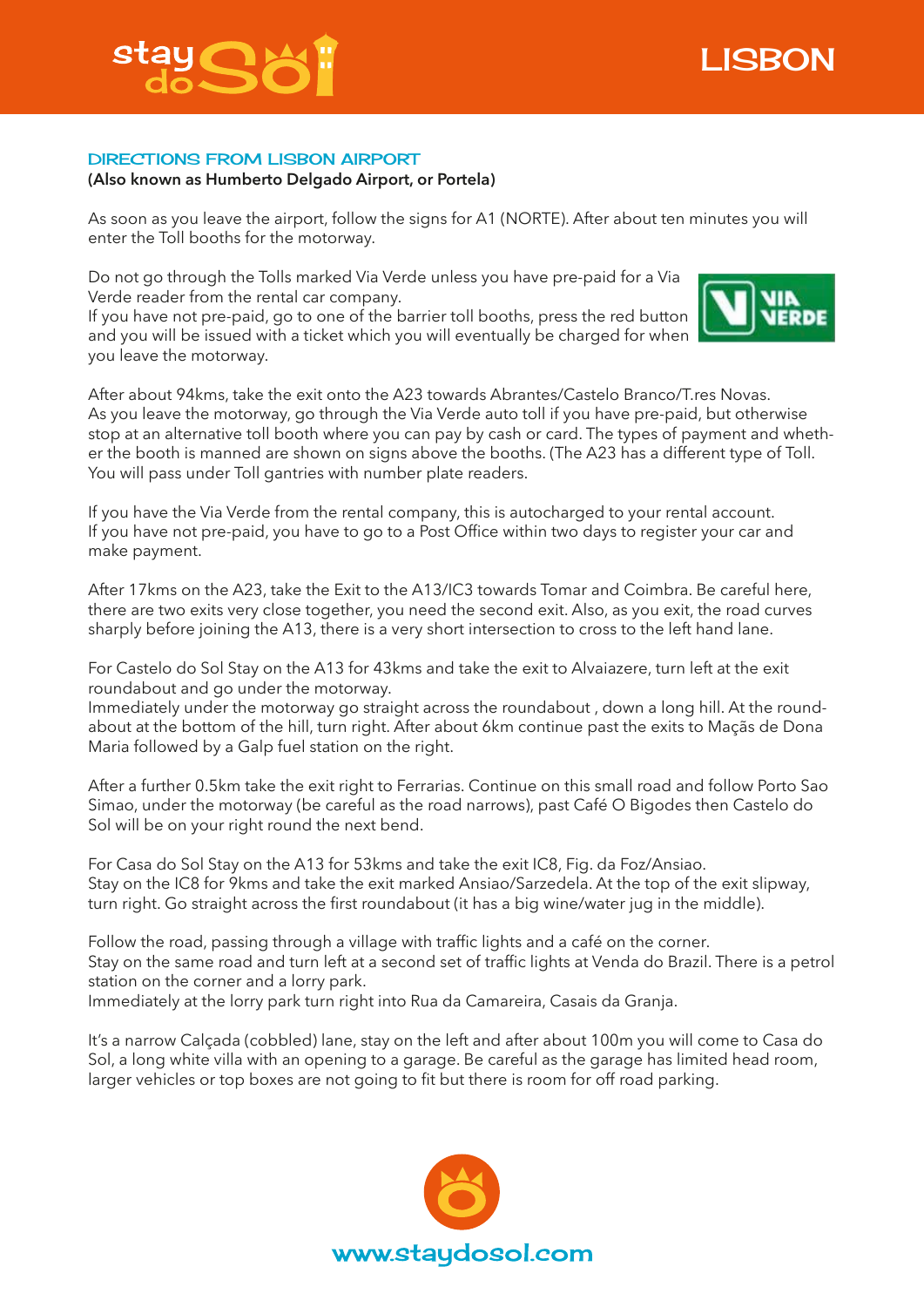



## DIRECTIONS FROM LISBON AIRPORT

## **(Also known as Humberto Delgado Airport, or Portela)**

As soon as you leave the airport, follow the signs for A1 (NORTE). After about ten minutes you will enter the Toll booths for the motorway.

Do not go through the Tolls marked Via Verde unless you have pre-paid for a Via Verde reader from the rental car company.

If you have not pre-paid, go to one of the barrier toll booths, press the red button and you will be issued with a ticket which you will eventually be charged for when you leave the motorway.



After about 94kms, take the exit onto the A23 towards Abrantes/Castelo Branco/T.res Novas. As you leave the motorway, go through the Via Verde auto toll if you have pre-paid, but otherwise stop at an alternative toll booth where you can pay by cash or card. The types of payment and whether the booth is manned are shown on signs above the booths. (The A23 has a different type of Toll. You will pass under Toll gantries with number plate readers.

If you have the Via Verde from the rental company, this is autocharged to your rental account. If you have not pre-paid, you have to go to a Post Office within two days to register your car and make payment.

After 17kms on the A23, take the Exit to the A13/IC3 towards Tomar and Coimbra. Be careful here, there are two exits very close together, you need the second exit. Also, as you exit, the road curves sharply before joining the A13, there is a very short intersection to cross to the left hand lane.

For Castelo do Sol Stay on the A13 for 43kms and take the exit to Alvaiazere, turn left at the exit roundabout and go under the motorway.

Immediately under the motorway go straight across the roundabout , down a long hill. At the roundabout at the bottom of the hill, turn right. After about 6km continue past the exits to Maçãs de Dona Maria followed by a Galp fuel station on the right.

After a further 0.5km take the exit right to Ferrarias. Continue on this small road and follow Porto Sao Simao, under the motorway (be careful as the road narrows), past Café O Bigodes then Castelo do Sol will be on your right round the next bend.

For Casa do Sol Stay on the A13 for 53kms and take the exit IC8, Fig. da Foz/Ansiao. Stay on the IC8 for 9kms and take the exit marked Ansiao/Sarzedela. At the top of the exit slipway, turn right. Go straight across the first roundabout (it has a big wine/water jug in the middle).

Follow the road, passing through a village with traffic lights and a café on the corner. Stay on the same road and turn left at a second set of traffic lights at Venda do Brazil. There is a petrol station on the corner and a lorry park.

Immediately at the lorry park turn right into Rua da Camareira, Casais da Granja.

It's a narrow Calçada (cobbled) lane, stay on the left and after about 100m you will come to Casa do Sol, a long white villa with an opening to a garage. Be careful as the garage has limited head room, larger vehicles or top boxes are not going to fit but there is room for off road parking.